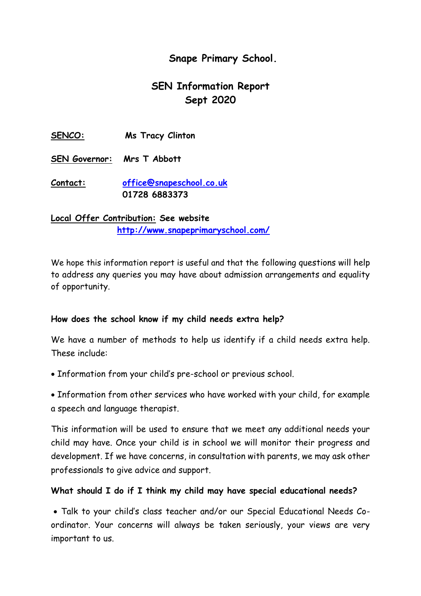## **Snape Primary School.**

# **SEN Information Report Sept 2020**

**SENCO: Ms Tracy Clinton**

**SEN Governor: Mrs T Abbott**

**Contact: [office@snapeschool.co.uk](mailto:office@snapeschool.co.uk) 01728 6883373**

**Local Offer Contribution: See website <http://www.snapeprimaryschool.com/>**

We hope this information report is useful and that the following questions will help to address any queries you may have about admission arrangements and equality of opportunity.

## **How does the school know if my child needs extra help?**

We have a number of methods to help us identify if a child needs extra help. These include:

Information from your child's pre-school or previous school.

• Information from other services who have worked with your child, for example a speech and language therapist.

This information will be used to ensure that we meet any additional needs your child may have. Once your child is in school we will monitor their progress and development. If we have concerns, in consultation with parents, we may ask other professionals to give advice and support.

## **What should I do if I think my child may have special educational needs?**

 Talk to your child's class teacher and/or our Special Educational Needs Coordinator. Your concerns will always be taken seriously, your views are very important to us.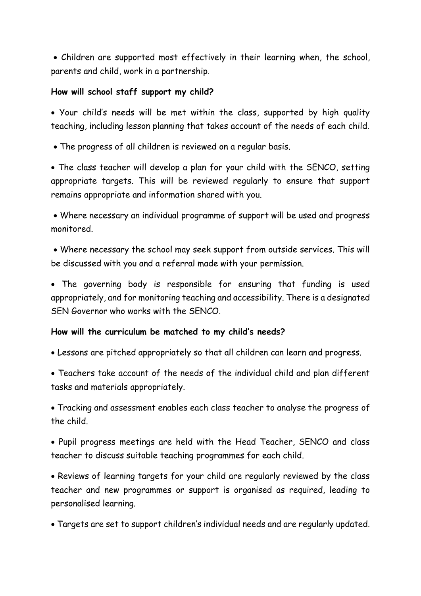Children are supported most effectively in their learning when, the school, parents and child, work in a partnership.

## **How will school staff support my child?**

 Your child's needs will be met within the class, supported by high quality teaching, including lesson planning that takes account of the needs of each child.

The progress of all children is reviewed on a regular basis.

 The class teacher will develop a plan for your child with the SENCO, setting appropriate targets. This will be reviewed regularly to ensure that support remains appropriate and information shared with you.

 Where necessary an individual programme of support will be used and progress monitored.

 Where necessary the school may seek support from outside services. This will be discussed with you and a referral made with your permission.

 The governing body is responsible for ensuring that funding is used appropriately, and for monitoring teaching and accessibility. There is a designated SEN Governor who works with the SENCO.

## **How will the curriculum be matched to my child's needs?**

Lessons are pitched appropriately so that all children can learn and progress.

 Teachers take account of the needs of the individual child and plan different tasks and materials appropriately.

 Tracking and assessment enables each class teacher to analyse the progress of the child.

 Pupil progress meetings are held with the Head Teacher, SENCO and class teacher to discuss suitable teaching programmes for each child.

 Reviews of learning targets for your child are regularly reviewed by the class teacher and new programmes or support is organised as required, leading to personalised learning.

Targets are set to support children's individual needs and are regularly updated.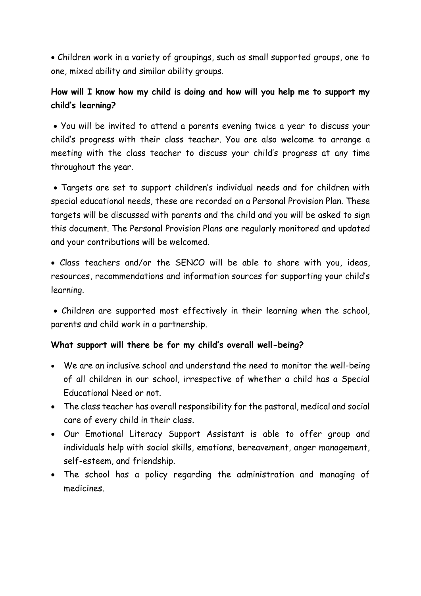Children work in a variety of groupings, such as small supported groups, one to one, mixed ability and similar ability groups.

# **How will I know how my child is doing and how will you help me to support my child's learning?**

 You will be invited to attend a parents evening twice a year to discuss your child's progress with their class teacher. You are also welcome to arrange a meeting with the class teacher to discuss your child's progress at any time throughout the year.

 Targets are set to support children's individual needs and for children with special educational needs, these are recorded on a Personal Provision Plan. These targets will be discussed with parents and the child and you will be asked to sign this document. The Personal Provision Plans are regularly monitored and updated and your contributions will be welcomed.

 Class teachers and/or the SENCO will be able to share with you, ideas, resources, recommendations and information sources for supporting your child's learning.

 Children are supported most effectively in their learning when the school, parents and child work in a partnership.

## **What support will there be for my child's overall well-being?**

- We are an inclusive school and understand the need to monitor the well-being of all children in our school, irrespective of whether a child has a Special Educational Need or not.
- The class teacher has overall responsibility for the pastoral, medical and social care of every child in their class.
- Our Emotional Literacy Support Assistant is able to offer group and individuals help with social skills, emotions, bereavement, anger management, self-esteem, and friendship.
- The school has a policy regarding the administration and managing of medicines.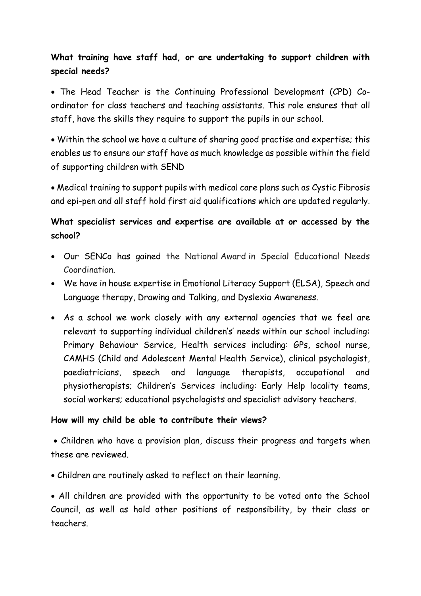# **What training have staff had, or are undertaking to support children with special needs?**

 The Head Teacher is the Continuing Professional Development (CPD) Coordinator for class teachers and teaching assistants. This role ensures that all staff, have the skills they require to support the pupils in our school.

 Within the school we have a culture of sharing good practise and expertise; this enables us to ensure our staff have as much knowledge as possible within the field of supporting children with SEND

 Medical training to support pupils with medical care plans such as Cystic Fibrosis and epi-pen and all staff hold first aid qualifications which are updated regularly.

## **What specialist services and expertise are available at or accessed by the school?**

- Our SENCo has gained the National Award in Special Educational Needs Coordination.
- We have in house expertise in Emotional Literacy Support (ELSA), Speech and Language therapy, Drawing and Talking, and Dyslexia Awareness.
- As a school we work closely with any external agencies that we feel are relevant to supporting individual children's' needs within our school including: Primary Behaviour Service, Health services including: GPs, school nurse, CAMHS (Child and Adolescent Mental Health Service), clinical psychologist, paediatricians, speech and language therapists, occupational and physiotherapists; Children's Services including: Early Help locality teams, social workers; educational psychologists and specialist advisory teachers.

## **How will my child be able to contribute their views?**

 Children who have a provision plan, discuss their progress and targets when these are reviewed.

Children are routinely asked to reflect on their learning.

 All children are provided with the opportunity to be voted onto the School Council, as well as hold other positions of responsibility, by their class or teachers.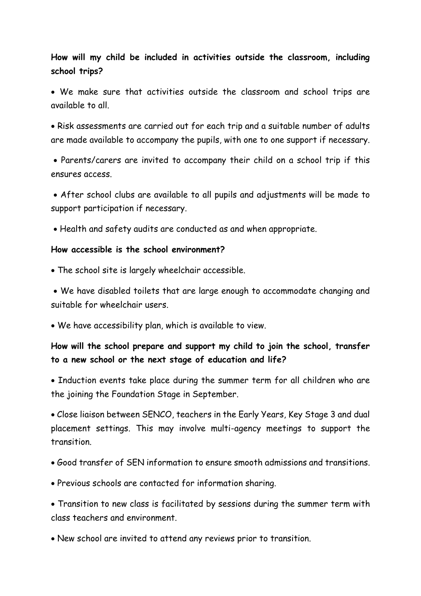## **How will my child be included in activities outside the classroom, including school trips?**

 We make sure that activities outside the classroom and school trips are available to all.

 Risk assessments are carried out for each trip and a suitable number of adults are made available to accompany the pupils, with one to one support if necessary.

 Parents/carers are invited to accompany their child on a school trip if this ensures access.

 After school clubs are available to all pupils and adjustments will be made to support participation if necessary.

Health and safety audits are conducted as and when appropriate.

#### **How accessible is the school environment?**

The school site is largely wheelchair accessible.

 We have disabled toilets that are large enough to accommodate changing and suitable for wheelchair users.

We have accessibility plan, which is available to view.

## **How will the school prepare and support my child to join the school, transfer to a new school or the next stage of education and life?**

• Induction events take place during the summer term for all children who are the joining the Foundation Stage in September.

 Close liaison between SENCO, teachers in the Early Years, Key Stage 3 and dual placement settings. This may involve multi-agency meetings to support the transition.

- Good transfer of SEN information to ensure smooth admissions and transitions.
- Previous schools are contacted for information sharing.

 Transition to new class is facilitated by sessions during the summer term with class teachers and environment.

New school are invited to attend any reviews prior to transition.